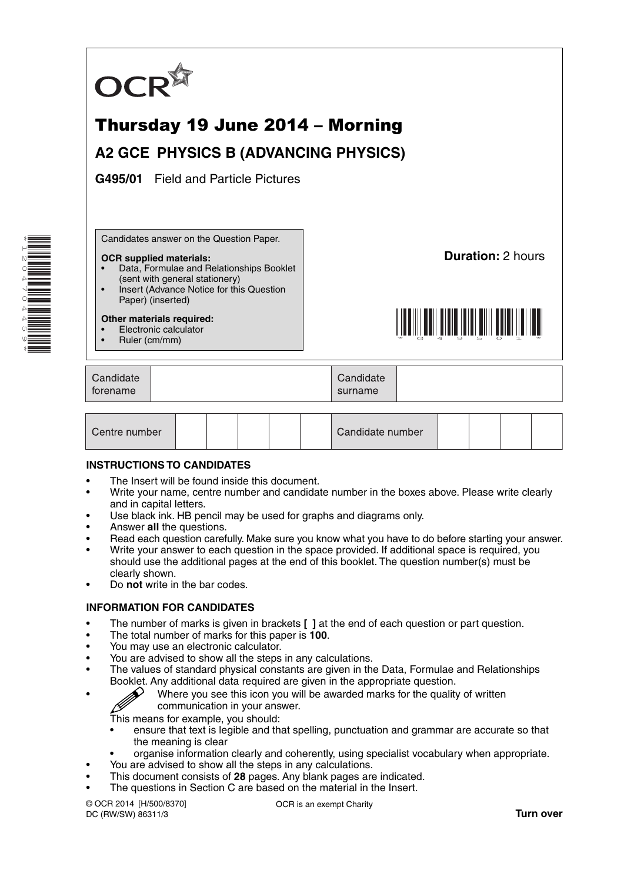

# Thursday 19 June 2014 – Morning

## **A2 GCE PHYSICS B (ADVANCING PHYSICS)**

**G495/01** Field and Particle Pictures

Candidates answer on the Question Paper.

#### **OCR supplied materials:**

- Data, Formulae and Relationships Booklet (sent with general stationery)
- Insert (Advance Notice for this Question Paper) (inserted)

#### **Other materials required:**

• Electronic calculator

\*1204704459\*

• Ruler (cm/mm)

**Duration:** 2 hours



| Candidate<br>Candidate<br>forename<br>surname |
|-----------------------------------------------|
|-----------------------------------------------|

| Centre number |  |  |  |  |  | Candidate number |  |  |  |  |
|---------------|--|--|--|--|--|------------------|--|--|--|--|
|---------------|--|--|--|--|--|------------------|--|--|--|--|

#### **INSTRUCTIONS TO CANDIDATES**

- The Insert will be found inside this document.
- Write your name, centre number and candidate number in the boxes above. Please write clearly and in capital letters.
- Use black ink. HB pencil may be used for graphs and diagrams only.
- Answer **all** the questions.
- Read each question carefully. Make sure you know what you have to do before starting your answer.
- Write your answer to each question in the space provided. If additional space is required, you should use the additional pages at the end of this booklet. The question number(s) must be clearly shown.
- Do **not** write in the bar codes.

#### **INFORMATION FOR CANDIDATES**

- The number of marks is given in brackets **[ ]** at the end of each question or part question.
- The total number of marks for this paper is **100**.
- You may use an electronic calculator.
- You are advised to show all the steps in any calculations.
- The values of standard physical constants are given in the Data, Formulae and Relationships Booklet. Any additional data required are given in the appropriate question.
	- Where you see this icon you will be awarded marks for the quality of written communication in your answer.

This means for example, you should:

- ensure that text is legible and that spelling, punctuation and grammar are accurate so that the meaning is clear
- organise information clearly and coherently, using specialist vocabulary when appropriate.
- You are advised to show all the steps in any calculations.
- This document consists of **28** pages. Any blank pages are indicated. The questions in Section C are based on the material in the Insert.
- © OCR 2014 [H/500/8370] DC (RW/SW) 86311/3

OCR is an exempt Charity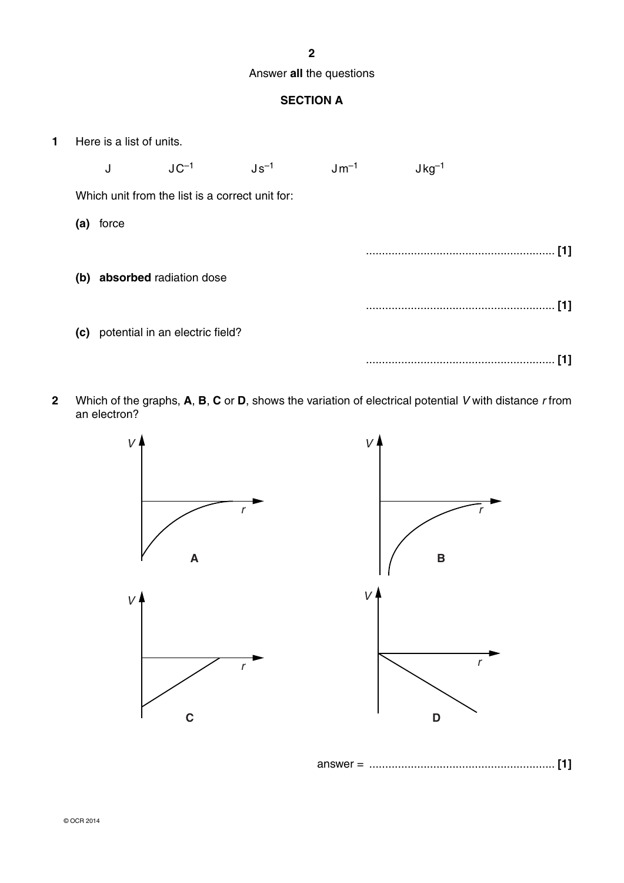### **2**

#### Answer **all** the questions

## **SECTION A**

**1** Here is a list of units.

J  $\,$  JC $^{-1}$  Js $^{-1}$  Jm $^{-1}$  Jkg $^{-1}$ Which unit from the list is a correct unit for:  **(a)** force ........................................................... **[1] (b) absorbed** radiation dose ........................................................... **[1] (c)** potential in an electric field? ........................................................... **[1]**

**2** Which of the graphs, **A**, **B**, **C** or **D**, shows the variation of electrical potential *V* with distance *r* from an electron?



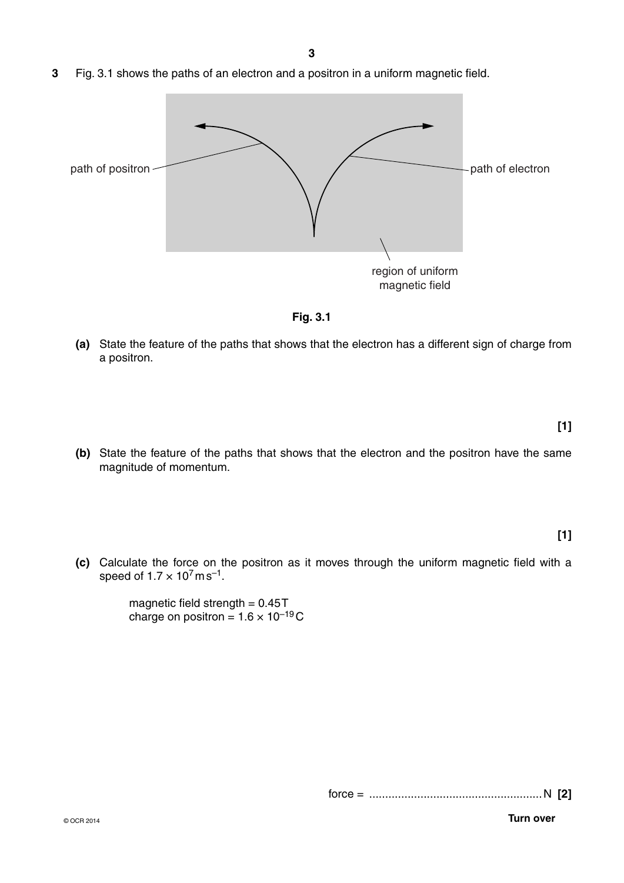**3** Fig. 3.1 shows the paths of an electron and a positron in a uniform magnetic field.



**Fig. 3.1**

 **(a)** State the feature of the paths that shows that the electron has a different sign of charge from a positron.

**[1]**

 **(b)** State the feature of the paths that shows that the electron and the positron have the same magnitude of momentum.

**[1]**

 **(c)** Calculate the force on the positron as it moves through the uniform magnetic field with a speed of  $1.7 \times 10^7$  m s<sup>-1</sup>.

> magnetic field strength  $= 0.45T$ charge on positron =  $1.6 \times 10^{-19}$ C

> > force = ......................................................N **[2]**

© OCR 2014 **Turn over**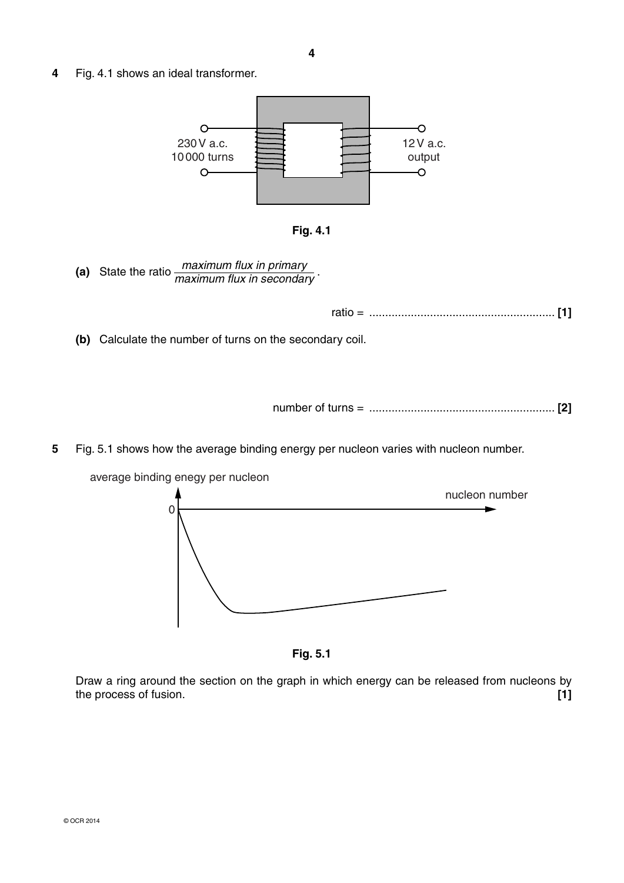**4** Fig. 4.1 shows an ideal transformer.





 **(a)** State the ratio *maximum flux in primary maximum flux in secondary* .

ratio = .......................................................... **[1]**

 **(b)** Calculate the number of turns on the secondary coil.

number of turns = .......................................................... **[2]**

**5** Fig. 5.1 shows how the average binding energy per nucleon varies with nucleon number.





Draw a ring around the section on the graph in which energy can be released from nucleons by the process of fusion. **[1]**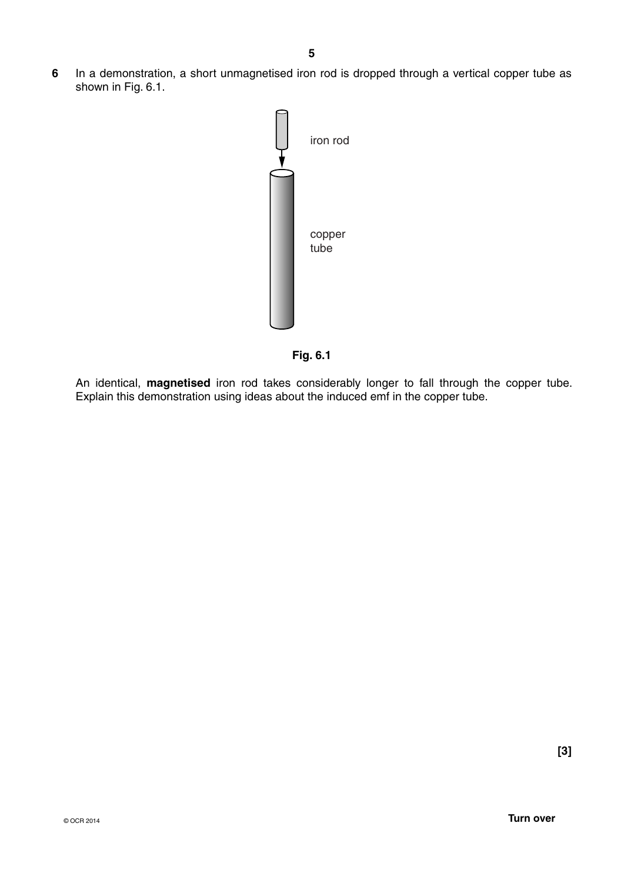**6** In a demonstration, a short unmagnetised iron rod is dropped through a vertical copper tube as shown in Fig. 6.1.





An identical, **magnetised** iron rod takes considerably longer to fall through the copper tube. Explain this demonstration using ideas about the induced emf in the copper tube.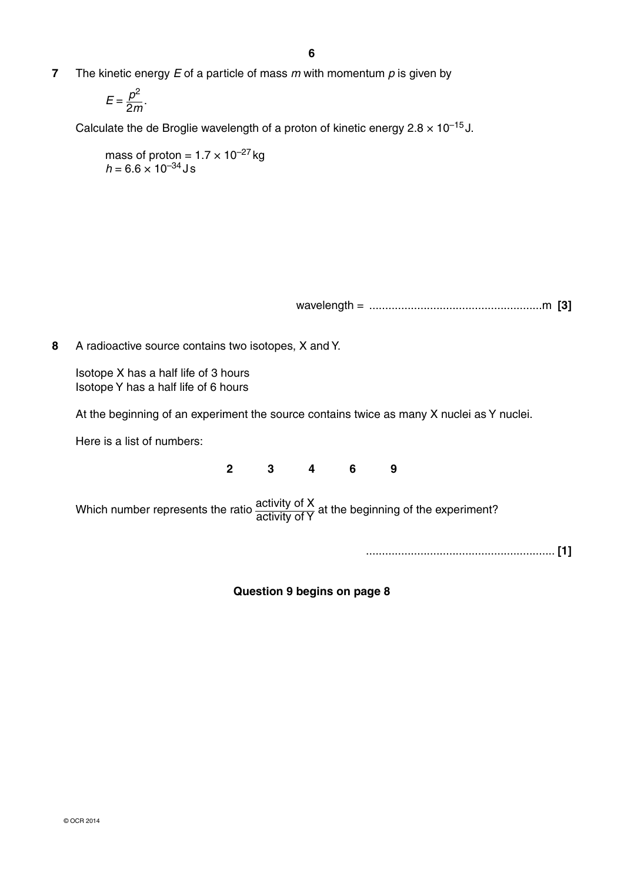**7** The kinetic energy *E* of a particle of mass *m* with momentum *p* is given by

$$
E=\frac{p^2}{2m}.
$$

Calculate the de Broglie wavelength of a proton of kinetic energy  $2.8 \times 10^{-15}$  J.

mass of proton =  $1.7 \times 10^{-27}$  kg  $h = 6.6 \times 10^{-34}$  J s

wavelength = ......................................................m **[3]**

**8** A radioactive source contains two isotopes, X and Y.

Isotope X has a half life of 3 hours Isotope Y has a half life of 6 hours

At the beginning of an experiment the source contains twice as many X nuclei as Y nuclei.

Here is a list of numbers:

**2 3 4 6 9**

Which number represents the ratio  $\frac{\text{activity of X}}{\text{activity of Y}}$  at the beginning of the experiment?

........................................................... **[1]**

**Question 9 begins on page 8**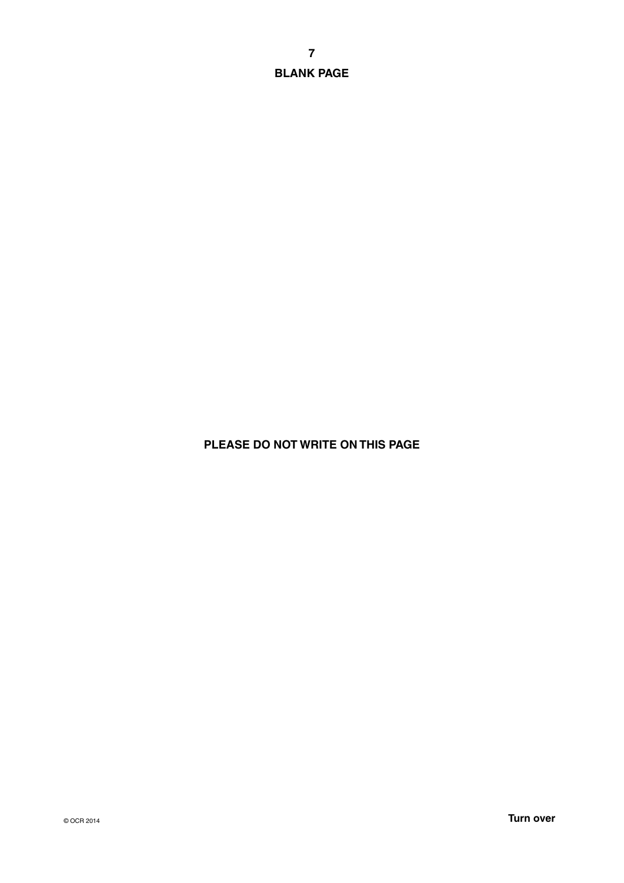**7 BLANK PAGE**

## **PLEASE DO NOT WRITE ON THIS PAGE**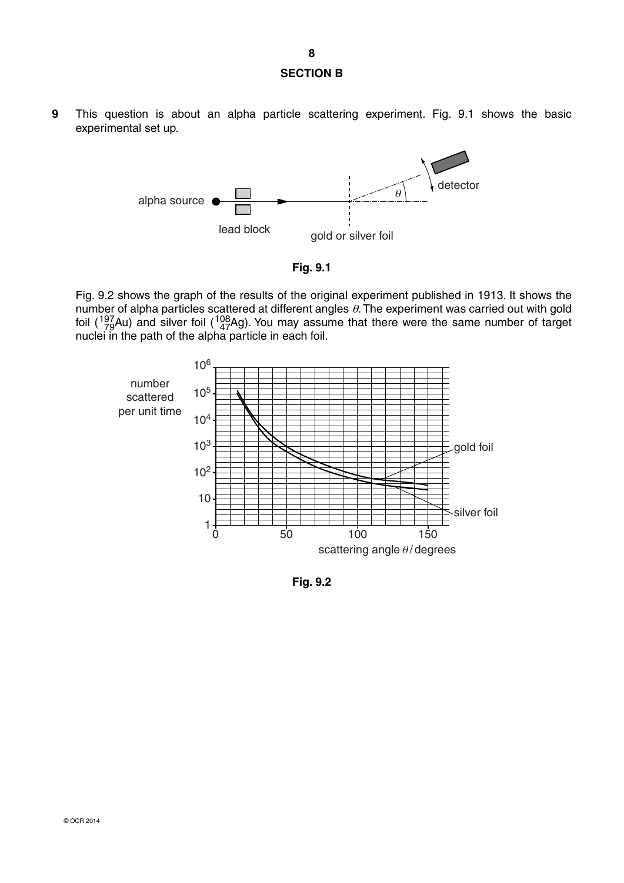**9** This question is about an alpha particle scattering experiment. Fig. 9.1 shows the basic experimental set up.





Fig. 9.2 shows the graph of the results of the original experiment published in 1913. It shows the number of alpha particles scattered at different angles  $\theta$ . The experiment was carried out with gold foil ( $^{197}_{79}$ Au) and silver foil ( $^{108}_{47}$ Ag). You may assume that there were the same number of target nuclei in the path of the alpha particle in each foil.



**Fig. 9.2**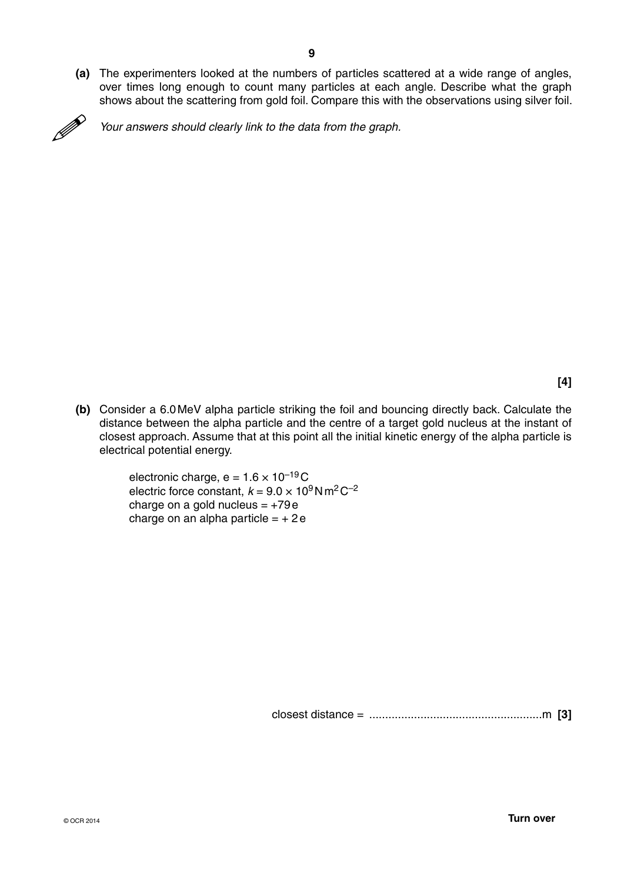**(a)** The experimenters looked at the numbers of particles scattered at a wide range of angles, over times long enough to count many particles at each angle. Describe what the graph shows about the scattering from gold foil. Compare this with the observations using silver foil.



*Your answers should clearly link to the data from the graph.*

**[4]**

 **(b)** Consider a 6.0 MeV alpha particle striking the foil and bouncing directly back. Calculate the distance between the alpha particle and the centre of a target gold nucleus at the instant of closest approach. Assume that at this point all the initial kinetic energy of the alpha particle is electrical potential energy.

> electronic charge,  $e = 1.6 \times 10^{-19}$ C electric force constant,  $k = 9.0 \times 10^9$  N m<sup>2</sup> C<sup>-2</sup> charge on a gold nucleus  $= +79e$ charge on an alpha particle  $= +2e$

> > closest distance = ......................................................m **[3]**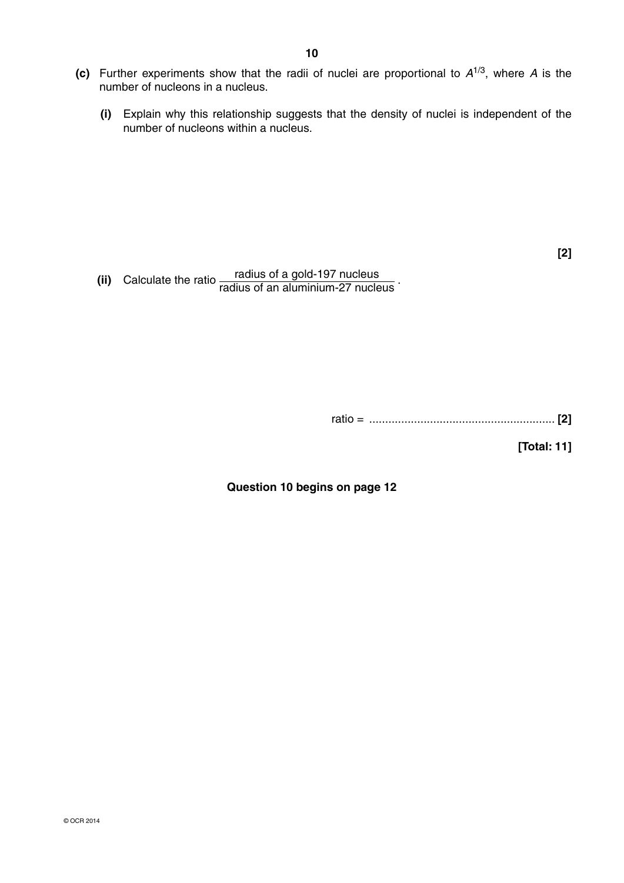- **(c)** Further experiments show that the radii of nuclei are proportional to *A*1/3, where *A* is the number of nucleons in a nucleus.
	- **(i)** Explain why this relationship suggests that the density of nuclei is independent of the number of nucleons within a nucleus.

**[2]**

**(ii)** Calculate the ratio radius of a gold-197 nucleus<br>radius of an aluminium-27 nucleus

| rauc<br>____ |
|--------------|
|--------------|

**[Total: 11]**

**Question 10 begins on page 12**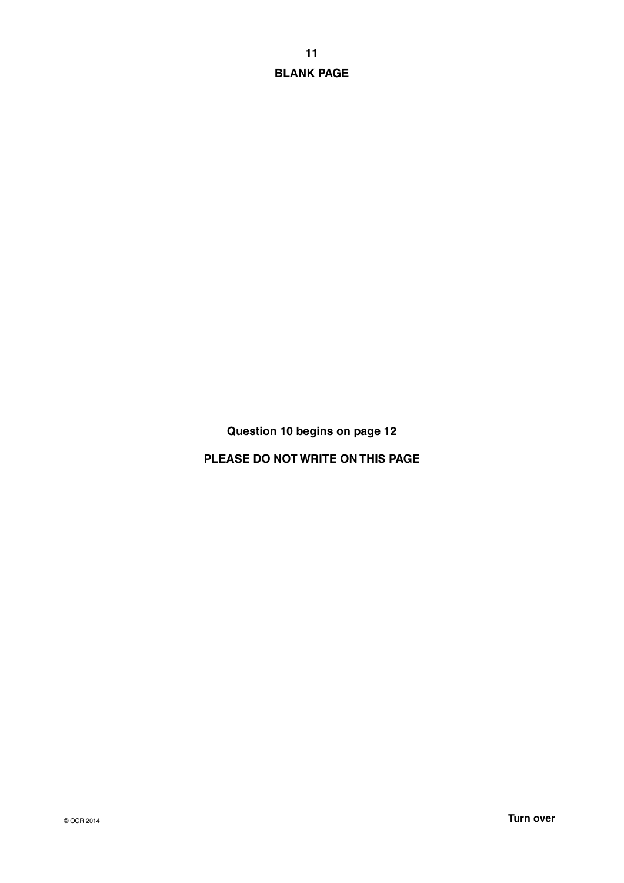**11 BLANK PAGE**

**Question 10 begins on page 12**

**PLEASE DO NOT WRITE ON THIS PAGE**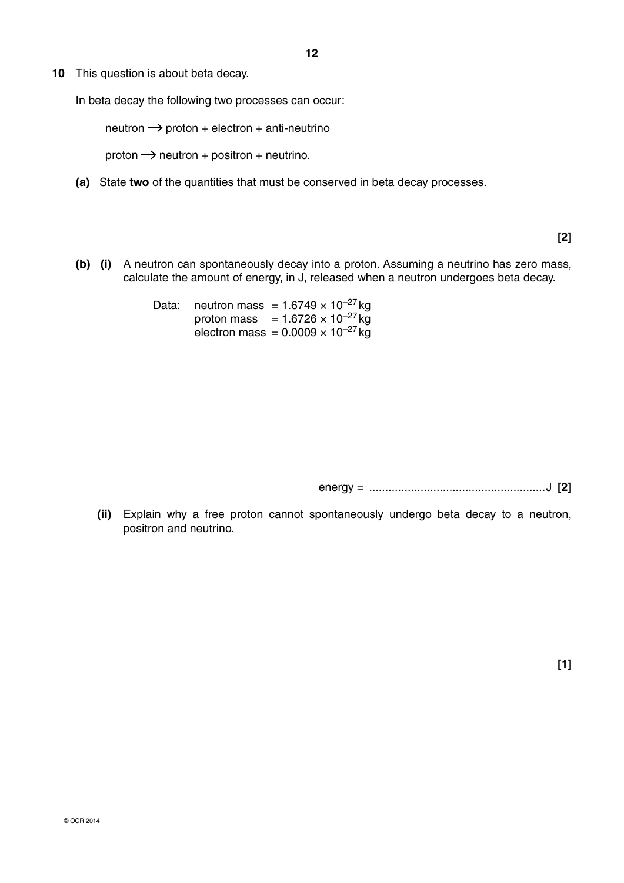**10** This question is about beta decay.

In beta decay the following two processes can occur:

 $netron \rightarrow proton + electron + anti-neutrino$ 

proton  $\rightarrow$  neutron + positron + neutrino.

 **(a)** State **two** of the quantities that must be conserved in beta decay processes.

**[2]**

 **(b) (i)** A neutron can spontaneously decay into a proton. Assuming a neutrino has zero mass, calculate the amount of energy, in J, released when a neutron undergoes beta decay.

> Data: neutron mass =  $1.6749 \times 10^{-27}$  kg proton mass =  $1.6726 \times 10^{-27}$  kg electron mass =  $0.0009 \times 10^{-27}$  kg

> > energy = .......................................................J **[2]**

 **(ii)** Explain why a free proton cannot spontaneously undergo beta decay to a neutron, positron and neutrino.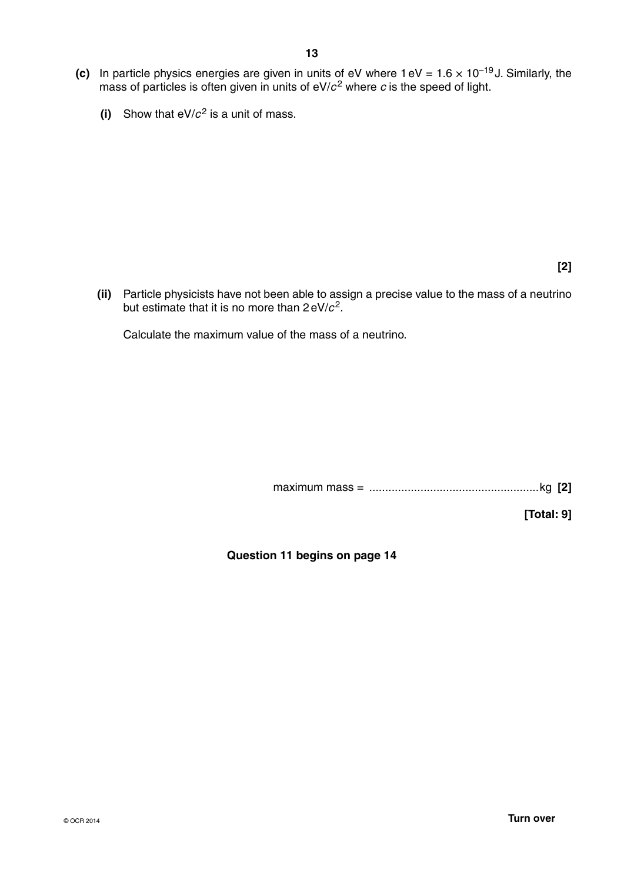- **(c)** In particle physics energies are given in units of eV where  $1 \text{ eV} = 1.6 \times 10^{-19} \text{ J}$ . Similarly, the mass of particles is often given in units of  $eV/c^2$  where  $c$  is the speed of light.
	- **(i)** Show that  $eV/c^2$  is a unit of mass.

**[2]**

 **(ii)** Particle physicists have not been able to assign a precise value to the mass of a neutrino but estimate that it is no more than  $2 \text{ eV}/c^2$ .

Calculate the maximum value of the mass of a neutrino.

maximum mass = .....................................................kg **[2]**

**[Total: 9]**

**Question 11 begins on page 14**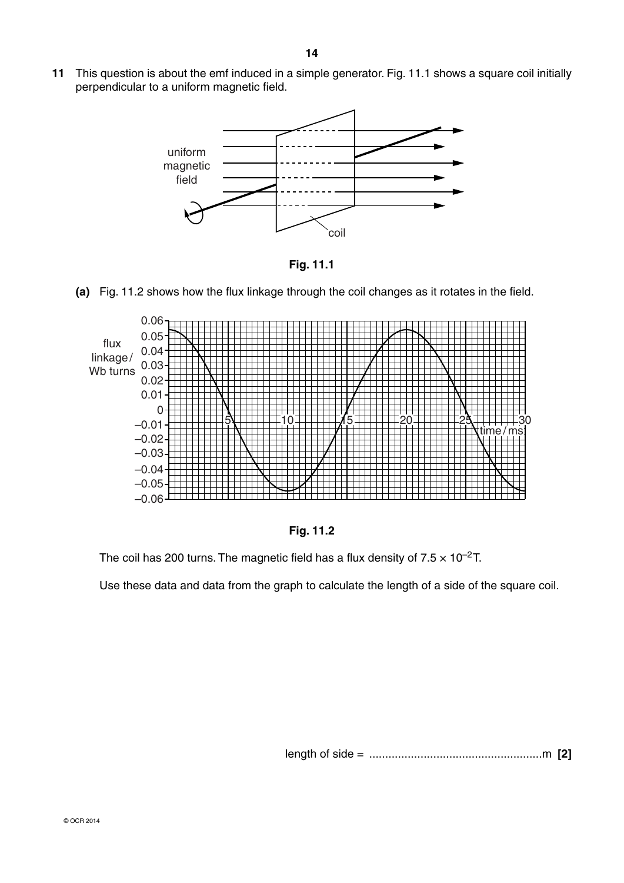**11** This question is about the emf induced in a simple generator. Fig. 11.1 shows a square coil initially perpendicular to a uniform magnetic field.



**Fig. 11.1**

 **(a)** Fig. 11.2 shows how the flux linkage through the coil changes as it rotates in the field.





The coil has 200 turns. The magnetic field has a flux density of  $7.5 \times 10^{-2}$ T.

Use these data and data from the graph to calculate the length of a side of the square coil.

length of side = ......................................................m **[2]**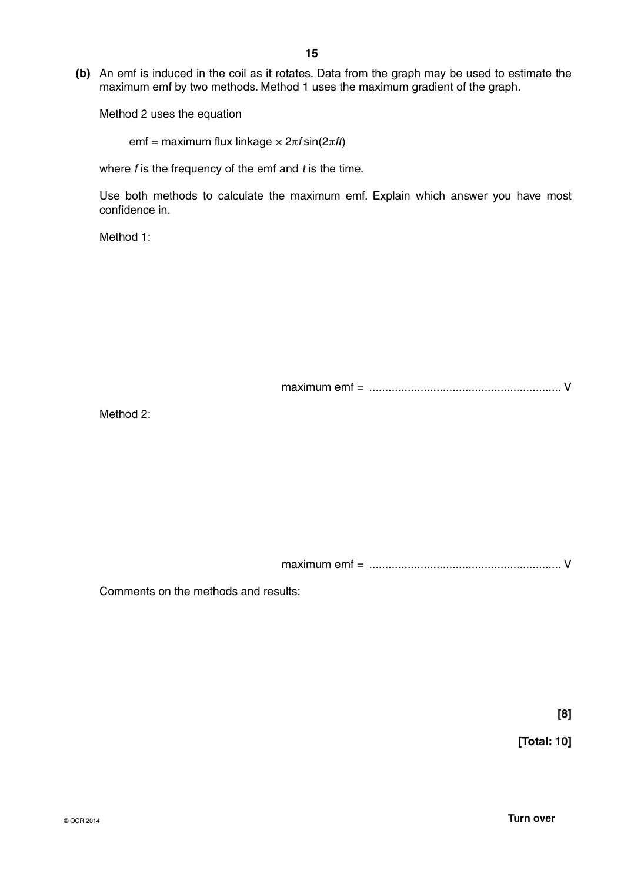**(b)** An emf is induced in the coil as it rotates. Data from the graph may be used to estimate the maximum emf by two methods. Method 1 uses the maximum gradient of the graph.

Method 2 uses the equation

emf = maximum flux linkage × 2π*f* sin(2π*ft* )

where *f* is the frequency of the emf and *t* is the time.

Use both methods to calculate the maximum emf. Explain which answer you have most confidence in.

Method 1:

maximum emf = ............................................................ V

Method 2:

maximum emf = ............................................................ V

Comments on the methods and results:

**[8]**

**[Total: 10]**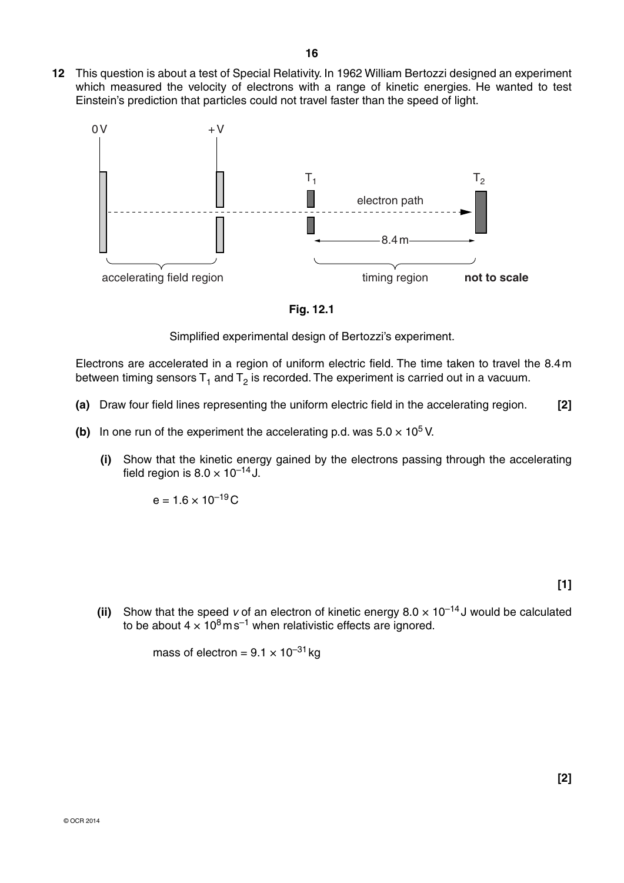**12** This question is about a test of Special Relativity. In 1962 William Bertozzi designed an experiment which measured the velocity of electrons with a range of kinetic energies. He wanted to test Einstein's prediction that particles could not travel faster than the speed of light.



**Fig. 12.1**

Simplified experimental design of Bertozzi's experiment.

Electrons are accelerated in a region of uniform electric field. The time taken to travel the 8.4 m between timing sensors  $T_1$  and  $T_2$  is recorded. The experiment is carried out in a vacuum.

- **(a)** Draw four field lines representing the uniform electric field in the accelerating region. **[2]**
- **(b)** In one run of the experiment the accelerating p.d. was  $5.0 \times 10^5$  V.
	- **(i)** Show that the kinetic energy gained by the electrons passing through the accelerating field region is  $8.0 \times 10^{-14}$  J.

 $e = 1.6 \times 10^{-19}$ C

**[1]**

**[2]**

**(ii)** Show that the speed *v* of an electron of kinetic energy  $8.0 \times 10^{-14}$  J would be calculated to be about  $4 \times 10^8 \text{ m s}^{-1}$  when relativistic effects are ignored.

mass of electron =  $9.1 \times 10^{-31}$  kg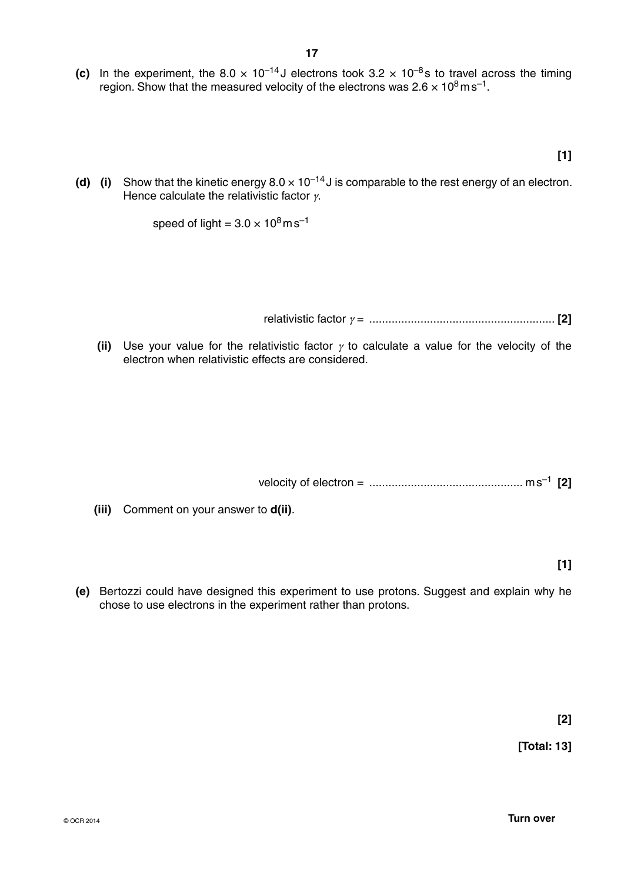**(c)** In the experiment, the 8.0  $\times$  10<sup>-14</sup> J electrons took 3.2  $\times$  10<sup>-8</sup>s to travel across the timing region. Show that the measured velocity of the electrons was  $2.6 \times 10^8 \text{ m s}^{-1}$ .

**[1]**

**(d)** (i) Show that the kinetic energy  $8.0 \times 10^{-14}$  J is comparable to the rest energy of an electron. Hence calculate the relativistic factor  $\gamma$ .

speed of light =  $3.0 \times 10^8$  m s<sup>-1</sup>

relativistic factor γ = .......................................................... **[2]**

**(ii)** Use your value for the relativistic factor  $\gamma$  to calculate a value for the velocity of the electron when relativistic effects are considered.

velocity of electron = ................................................ m s–1 **[2]**

 **(iii)** Comment on your answer to **d(ii)**.

**[1]**

 **(e)** Bertozzi could have designed this experiment to use protons. Suggest and explain why he chose to use electrons in the experiment rather than protons.

**[2]**

**[Total: 13]**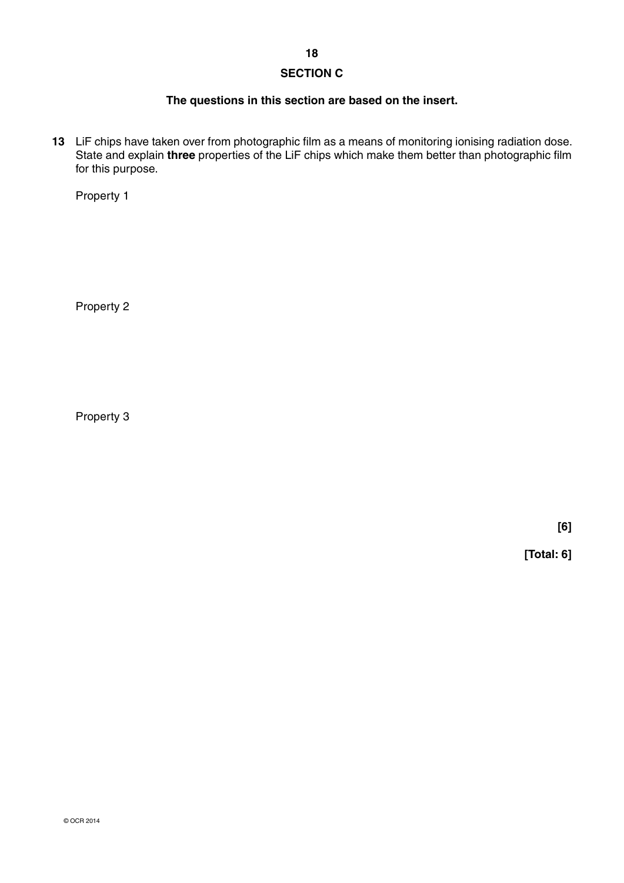## **SECTION C**

### **The questions in this section are based on the insert.**

**13** LiF chips have taken over from photographic film as a means of monitoring ionising radiation dose. State and explain **three** properties of the LiF chips which make them better than photographic film for this purpose.

Property 1

Property 2

Property 3

**[6]**

**[Total: 6]**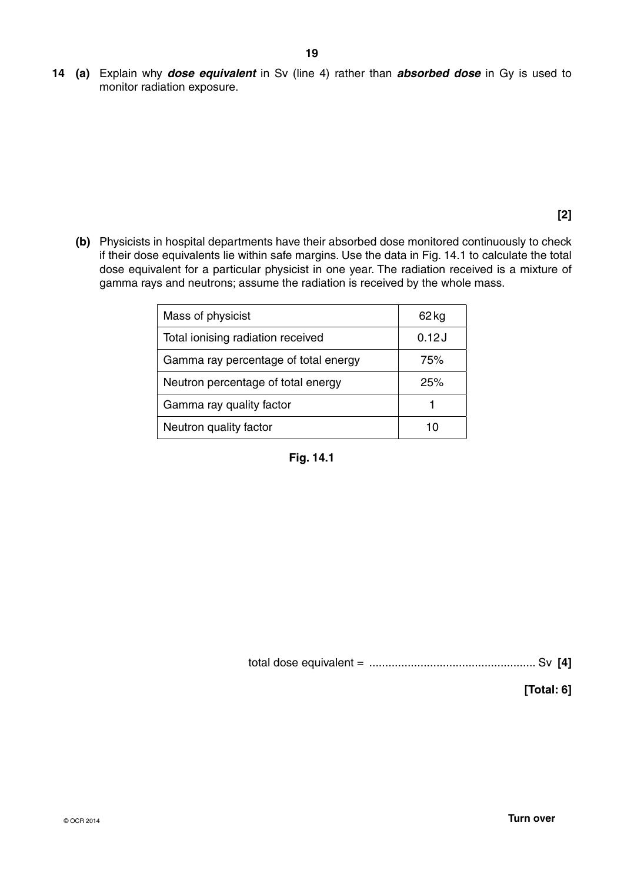**14 (a)** Explain why *dose equivalent* in Sv (line 4) rather than *absorbed dose* in Gy is used to monitor radiation exposure.

**[2]**

 **(b)** Physicists in hospital departments have their absorbed dose monitored continuously to check if their dose equivalents lie within safe margins. Use the data in Fig. 14.1 to calculate the total dose equivalent for a particular physicist in one year. The radiation received is a mixture of gamma rays and neutrons; assume the radiation is received by the whole mass.

| Mass of physicist                    | $62$ kg |
|--------------------------------------|---------|
| Total ionising radiation received    | 0.12J   |
| Gamma ray percentage of total energy | 75%     |
| Neutron percentage of total energy   | 25%     |
| Gamma ray quality factor             |         |
| Neutron quality factor               |         |



total dose equivalent = .................................................... Sv **[4]**

**[Total: 6]**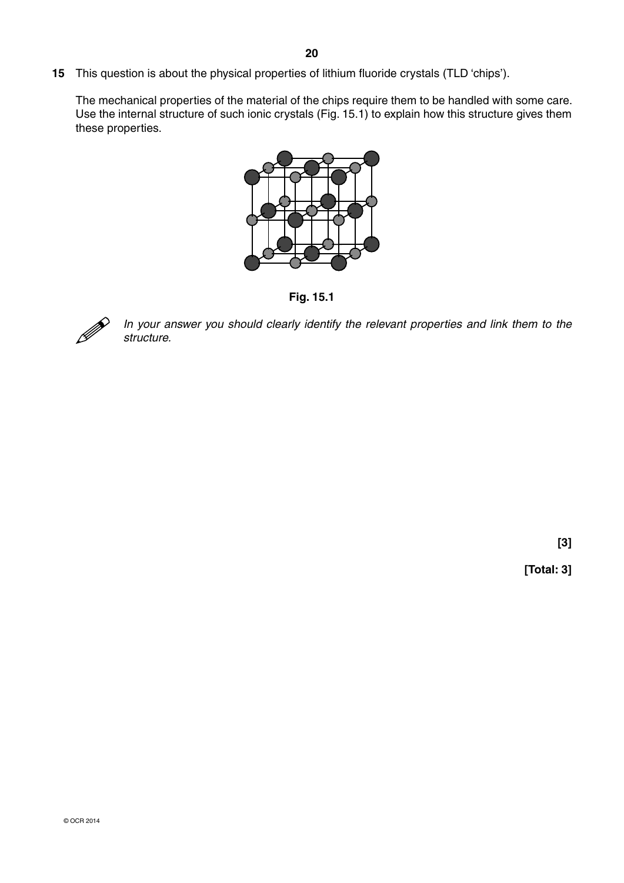**15** This question is about the physical properties of lithium fluoride crystals (TLD 'chips').

The mechanical properties of the material of the chips require them to be handled with some care. Use the internal structure of such ionic crystals (Fig. 15.1) to explain how this structure gives them these properties.



**Fig. 15.1**



 *In your answer you should clearly identify the relevant properties and link them to the structure.*

**[3]**

**[Total: 3]**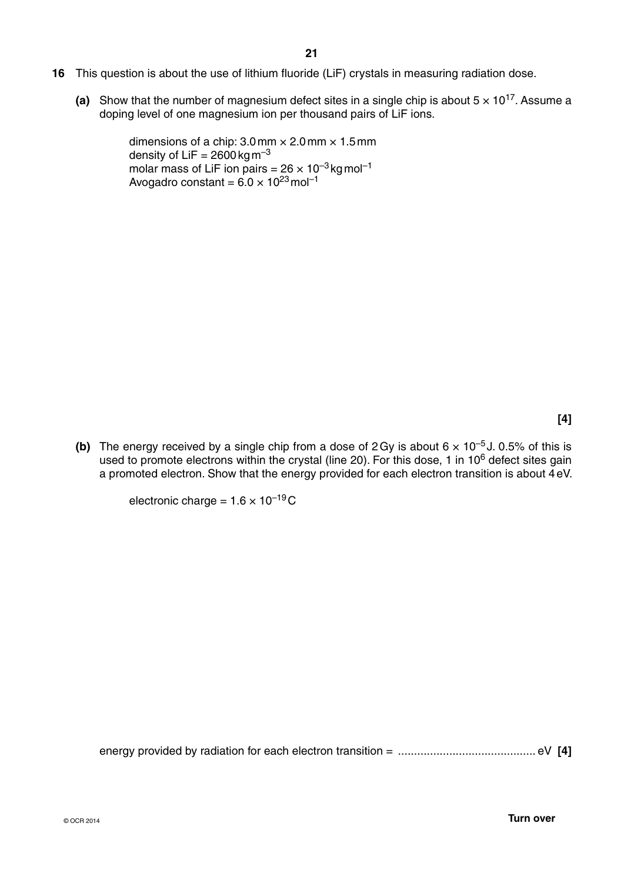- **16** This question is about the use of lithium fluoride (LiF) crystals in measuring radiation dose.
	- (a) Show that the number of magnesium defect sites in a single chip is about  $5 \times 10^{17}$ . Assume a doping level of one magnesium ion per thousand pairs of LiF ions.

dimensions of a chip:  $3.0$  mm  $\times$   $2.0$  mm  $\times$   $1.5$  mm density of LiF =  $2600$  kg m<sup>-3</sup> molar mass of LiF ion pairs =  $26 \times 10^{-3}$  kg mol<sup>-1</sup> Avogadro constant =  $6.0 \times 10^{23}$  mol<sup>-1</sup>

**[4]**

**(b)** The energy received by a single chip from a dose of 2 Gy is about  $6 \times 10^{-5}$  J. 0.5% of this is used to promote electrons within the crystal (line 20). For this dose, 1 in 10<sup>6</sup> defect sites gain a promoted electron. Show that the energy provided for each electron transition is about 4 eV.

electronic charge =  $1.6 \times 10^{-19}$ C

energy provided by radiation for each electron transition = ........................................... eV **[4]**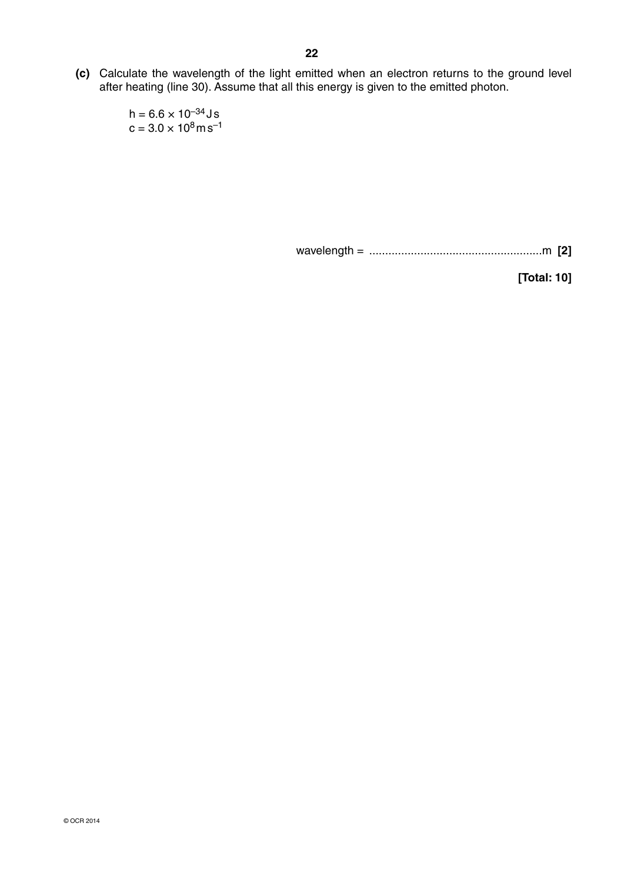**(c)** Calculate the wavelength of the light emitted when an electron returns to the ground level after heating (line 30). Assume that all this energy is given to the emitted photon.

> $h = 6.6 \times 10^{-34}$ Js  $c = 3.0 \times 10^8 \text{ms}^{-1}$

> > wavelength = ......................................................m **[2]**

**[Total: 10]**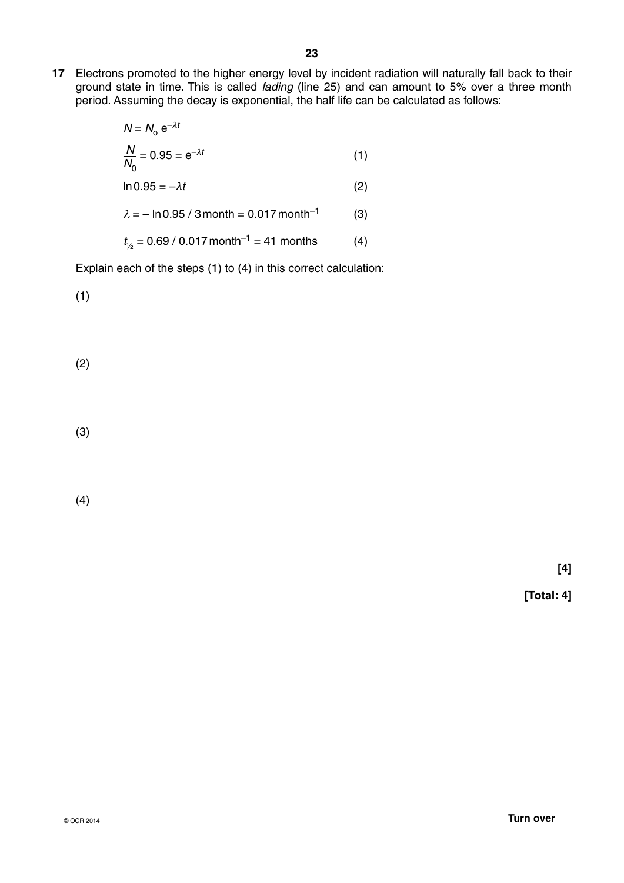**17** Electrons promoted to the higher energy level by incident radiation will naturally fall back to their ground state in time. This is called *fading* (line 25) and can amount to 5% over a three month period. Assuming the decay is exponential, the half life can be calculated as follows:

$$
N = N_0 e^{-\lambda t}
$$
  

$$
\frac{N}{N_0} = 0.95 = e^{-\lambda t}
$$
 (1)

 $\ln 0.95 = -\lambda t$  (2)

 $\lambda = -\ln 0.95 / 3$  month = 0.017 month<sup>-1</sup> (3)

 $t_{1/2} = 0.69 / 0.017$  month<sup>-1</sup> = 41 months (4)

Explain each of the steps (1) to (4) in this correct calculation:

(1)

(2)

(3)

(4)

**[4]**

**[Total: 4]**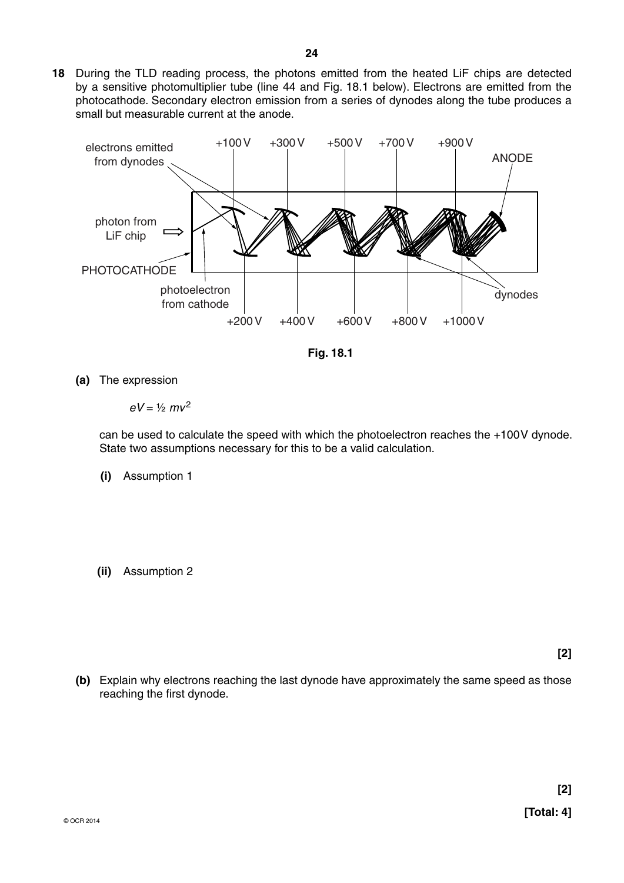**18** During the TLD reading process, the photons emitted from the heated LiF chips are detected by a sensitive photomultiplier tube (line 44 and Fig. 18.1 below). Electrons are emitted from the photocathode. Secondary electron emission from a series of dynodes along the tube produces a small but measurable current at the anode.



**Fig. 18.1**

 **(a)** The expression

 $eV = \frac{1}{2}mv^2$ 

can be used to calculate the speed with which the photoelectron reaches the +100 V dynode. State two assumptions necessary for this to be a valid calculation.

- **(i)** Assumption 1
- **(ii)** Assumption 2

**[2]**

 **(b)** Explain why electrons reaching the last dynode have approximately the same speed as those reaching the first dynode.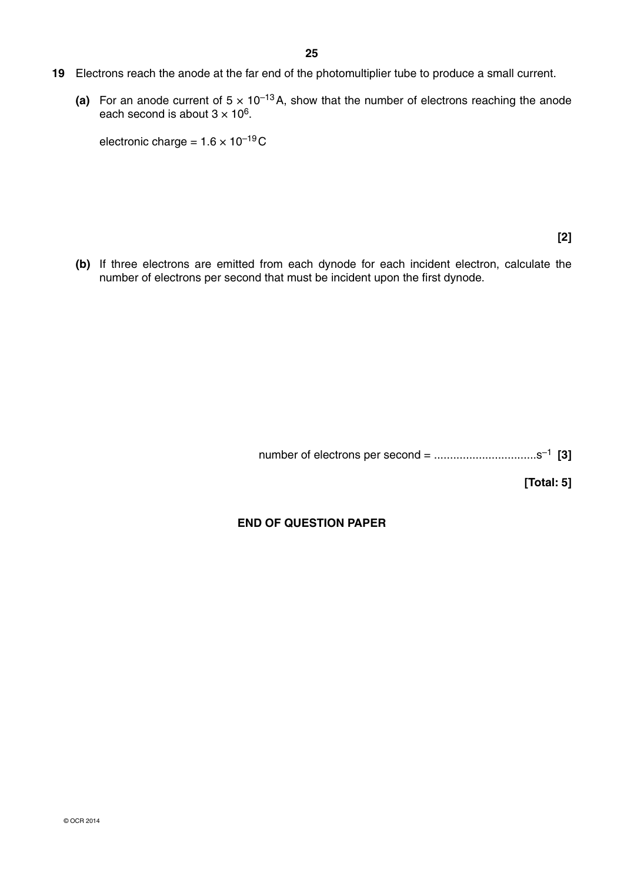- **19** Electrons reach the anode at the far end of the photomultiplier tube to produce a small current.
	- (a) For an anode current of  $5 \times 10^{-13}$  A, show that the number of electrons reaching the anode each second is about  $3 \times 10^6$ .

**electronic charge =**  $1.6 \times 10^{-19}$ **C** 

**[2]**

 **(b)** If three electrons are emitted from each dynode for each incident electron, calculate the number of electrons per second that must be incident upon the first dynode.

number of electrons per second = ................................s–1 **[3]**

**[Total: 5]**

## **END OF QUESTION PAPER**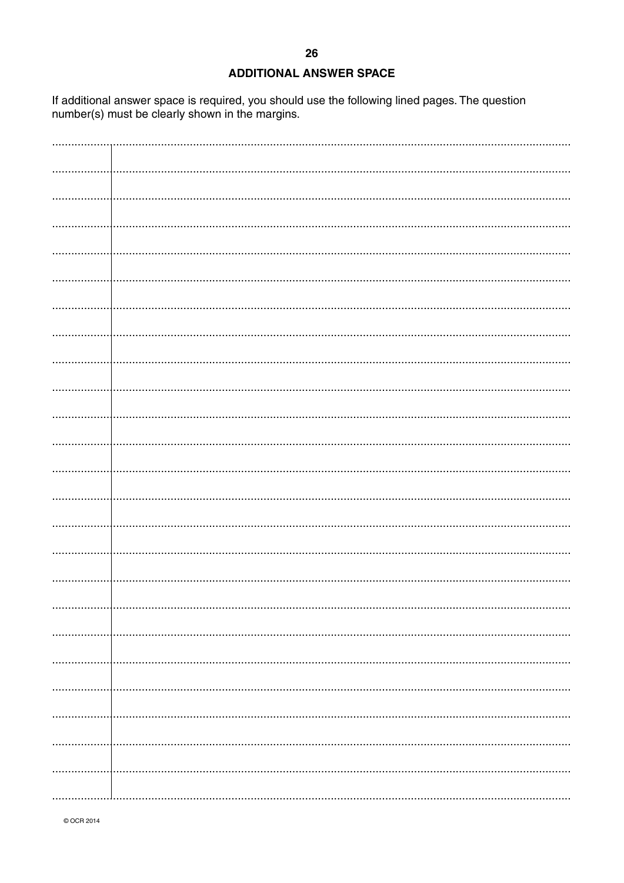| <b>ADDITIONAL ANSWER SPACE</b> |  |
|--------------------------------|--|
|                                |  |

If additional answer space is required, you should use the following lined pages. The question number(s) must be clearly shown in the margins.

© OCR 2014